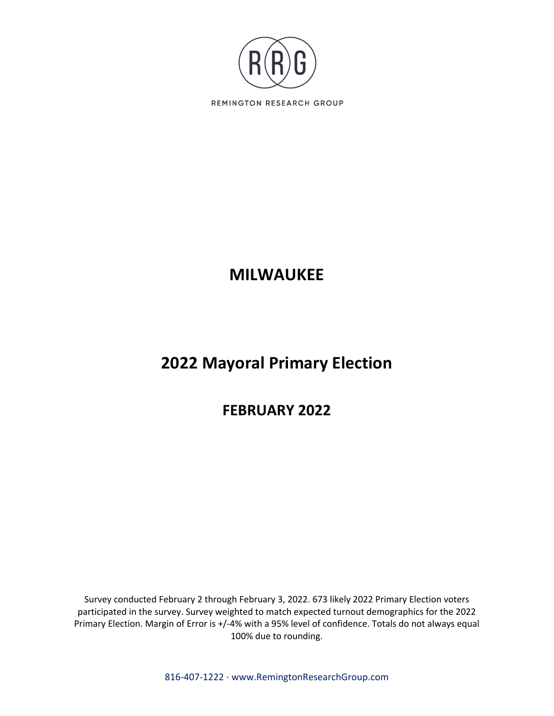

# **MILWAUKEE**

# **2022 Mayoral Primary Election**

## **FEBRUARY 2022**

Survey conducted February 2 through February 3, 2022. 673 likely 2022 Primary Election voters participated in the survey. Survey weighted to match expected turnout demographics for the 2022 Primary Election. Margin of Error is +/-4% with a 95% level of confidence. Totals do not always equal 100% due to rounding.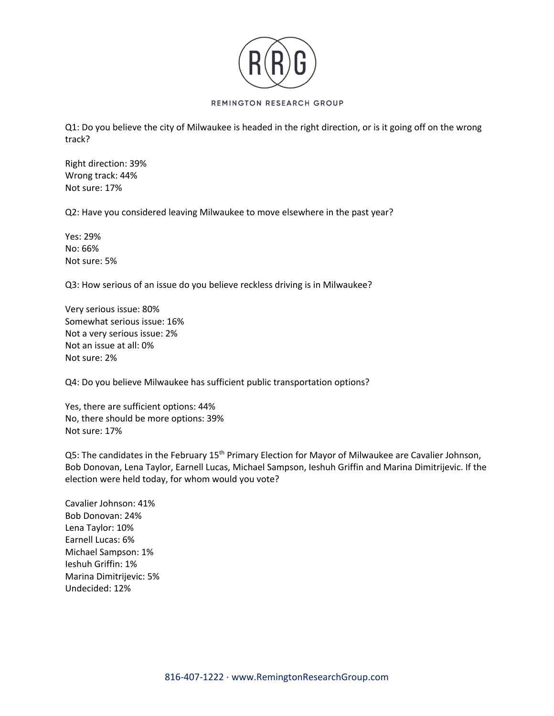

Q1: Do you believe the city of Milwaukee is headed in the right direction, or is it going off on the wrong track?

Right direction: 39% Wrong track: 44% Not sure: 17%

Q2: Have you considered leaving Milwaukee to move elsewhere in the past year?

Yes: 29% No: 66% Not sure: 5%

Q3: How serious of an issue do you believe reckless driving is in Milwaukee?

Very serious issue: 80% Somewhat serious issue: 16% Not a very serious issue: 2% Not an issue at all: 0% Not sure: 2%

Q4: Do you believe Milwaukee has sufficient public transportation options?

Yes, there are sufficient options: 44% No, there should be more options: 39% Not sure: 17%

Q5: The candidates in the February 15<sup>th</sup> Primary Election for Mayor of Milwaukee are Cavalier Johnson, Bob Donovan, Lena Taylor, Earnell Lucas, Michael Sampson, Ieshuh Griffin and Marina Dimitrijevic. If the election were held today, for whom would you vote?

Cavalier Johnson: 41% Bob Donovan: 24% Lena Taylor: 10% Earnell Lucas: 6% Michael Sampson: 1% Ieshuh Griffin: 1% Marina Dimitrijevic: 5% Undecided: 12%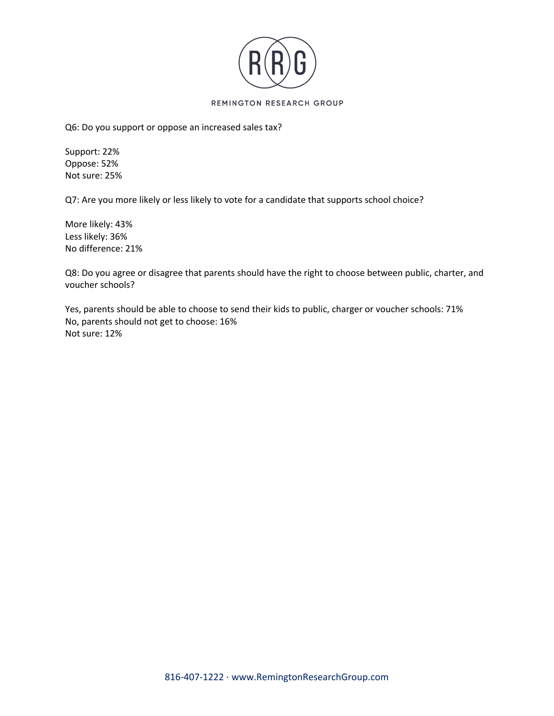

Q6: Do you support or oppose an increased sales tax?

Support: 22% Oppose: 52% Not sure: 25%

Q7: Are you more likely or less likely to vote for a candidate that supports school choice?

More likely: 43% Less likely: 36% No difference: 21%

Q8: Do you agree or disagree that parents should have the right to choose between public, charter, and voucher schools?

Yes, parents should be able to choose to send their kids to public, charger or voucher schools: 71% No, parents should not get to choose: 16% Not sure: 12%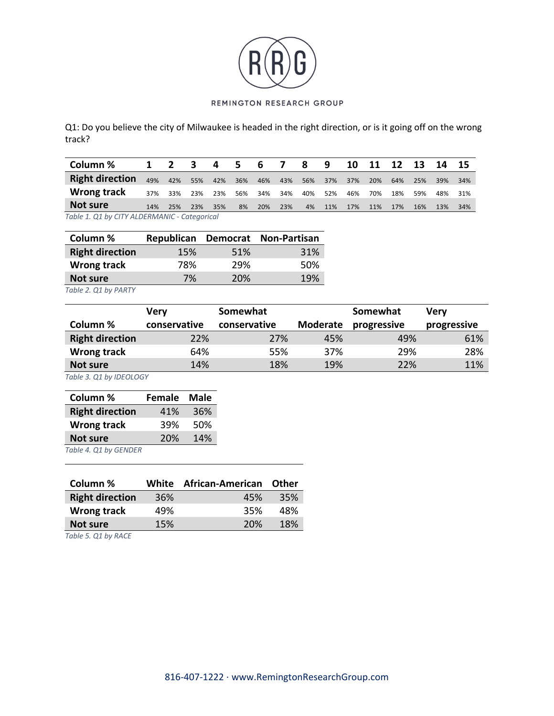

Q1: Do you believe the city of Milwaukee is headed in the right direction, or is it going off on the wrong track?

| Column %                                     | 1   | $\mathbf{2}$ | 3   | 4   | 5.  | 6   |     | 8   | 9   | 10  | -11 | 12  | -13 | -14 | -15 |
|----------------------------------------------|-----|--------------|-----|-----|-----|-----|-----|-----|-----|-----|-----|-----|-----|-----|-----|
| <b>Right direction</b>                       | 49% | 42%          | 55% | 42% | 36% | 46% | 43% | 56% | 37% | 37% | 20% | 64% | 25% | 39% | 34% |
| Wrong track                                  | 37% | 33%          | 23% | 23% | 56% | 34% | 34% | 40% | 52% | 46% | 70% | 18% | 59% | 48% | 31% |
| Not sure                                     | 14% | 25%          | 23% | 35% | 8%  | 20% | 23% | 4%  | 11% | 17% | 11% | 17% | 16% | 13% | 34% |
| Table 1. Q1 by CITY ALDERMANIC - Categorical |     |              |     |     |     |     |     |     |     |     |     |     |     |     |     |

| Column %               |     |     | Republican Democrat Non-Partisan |
|------------------------|-----|-----|----------------------------------|
| <b>Right direction</b> | 15% | 51% | 31%                              |
| Wrong track            | 78% | 29% | .50%                             |
| Not sure               | 7%  | 20% | 19%                              |

*Table 2. Q1 by PARTY*

|                        | <b>Very</b>  | Somewhat     |                 | Somewhat    | Verv        |  |
|------------------------|--------------|--------------|-----------------|-------------|-------------|--|
| Column %               | conservative | conservative | <b>Moderate</b> | progressive | progressive |  |
| <b>Right direction</b> | 22%          | 27%          | 45%             | 49%         | 61%         |  |
| Wrong track            | 64%          | 55%          | 37%             | 29%         | 28%         |  |
| Not sure               | 14%          | 18%          | 19%             | 22%         | 11%         |  |

*Table 3. Q1 by IDEOLOGY*

| Column %               | Female | Male |
|------------------------|--------|------|
| <b>Right direction</b> | 41%    | 36%  |
| <b>Wrong track</b>     | 39%    | 50%  |
| <b>Not sure</b>        | 20%    | 14%  |
| Table 1.01 by CENIDED  |        |      |

*Table 4. Q1 by GENDER*

| Column %                                                                                                     |     | White African-American | Other |
|--------------------------------------------------------------------------------------------------------------|-----|------------------------|-------|
| <b>Right direction</b>                                                                                       | 36% | 45%                    | 35%   |
| <b>Wrong track</b>                                                                                           | 49% | 35%                    | 48%   |
| Not sure                                                                                                     | 15% | 20%                    | 18%   |
| $T_{\alpha}$ <b>ble <math>\Gamma</math></b> $\Omega$ <sup>1</sup> <b>b</b> ., $\Gamma$ <sup>1</sup> $\Omega$ |     |                        |       |

*Table 5. Q1 by RACE*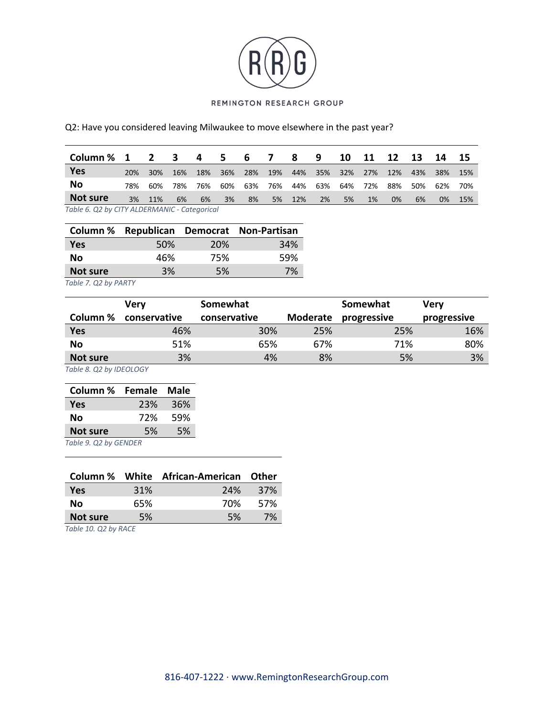

## Q2: Have you considered leaving Milwaukee to move elsewhere in the past year?

| Column % 1                                   |     | $\overline{2}$ | $\mathbf{3}$ | 4   | - 5 | 67  |     | 8   | -9  | 10  | 11  | 12    | 13  | 14    | -15 |
|----------------------------------------------|-----|----------------|--------------|-----|-----|-----|-----|-----|-----|-----|-----|-------|-----|-------|-----|
| <b>Yes</b>                                   | 20% | 30%            | 16%          | 18% | 36% | 28% | 19% | 44% | 35% | 32% | 27% | 12%   | 43% | 38%   | 15% |
| No                                           | 78% | 60%            | 78%          | 76% | 60% | 63% | 76% | 44% | 63% | 64% | 72% | 88%   | 50% | 62%   | 70% |
| Not sure                                     | 3%  | 11%            | 6%           | 6%  | 3%  | 8%  | 5%  | 12% | 2%  | 5%  | 1%  | $0\%$ | 6%  | $0\%$ | 15% |
| Table 6. Q2 by CITY ALDERMANIC - Categorical |     |                |              |     |     |     |     |     |     |     |     |       |     |       |     |

|            |     |            | Column % Republican Democrat Non-Partisan |
|------------|-----|------------|-------------------------------------------|
| <b>Yes</b> | 50% | <b>20%</b> | 34%                                       |
| No.        | 46% | 75%        | 59%                                       |
| Not sure   | 3%  | .5%        | 7%                                        |

*Table 7. Q2 by PARTY*

|                 | Verv         | Somewhat     | Somewhat |             | Verv        |
|-----------------|--------------|--------------|----------|-------------|-------------|
| Column %        | conservative | conservative | Moderate | progressive | progressive |
| <b>Yes</b>      | 46%          | 30%          | 25%      | 25%         | 16%         |
| No              | 51%          | 65%          | 67%      | 71%         | 80%         |
| <b>Not sure</b> | 3%           | 4%           | 8%       | 5%          | 3%          |

*Table 8. Q2 by IDEOLOGY*

| Column %              | <b>Female</b> | Male |  |  |  |  |
|-----------------------|---------------|------|--|--|--|--|
| <b>Yes</b>            | 23%           | 36%  |  |  |  |  |
| No                    | 72%           | 59%  |  |  |  |  |
| <b>Not sure</b>       | 5%            | .5%  |  |  |  |  |
| Table 9. Q2 by GENDER |               |      |  |  |  |  |

|            |     | Column % White African-American Other |            |
|------------|-----|---------------------------------------|------------|
| <b>Yes</b> | 31% | 24%                                   | <b>37%</b> |
| Nο         | 65% | 70%                                   | 57%        |
| Not sure   | 5%  | <b>5%</b>                             | 7%         |
|            |     |                                       |            |

*Table 10. Q2 by RACE*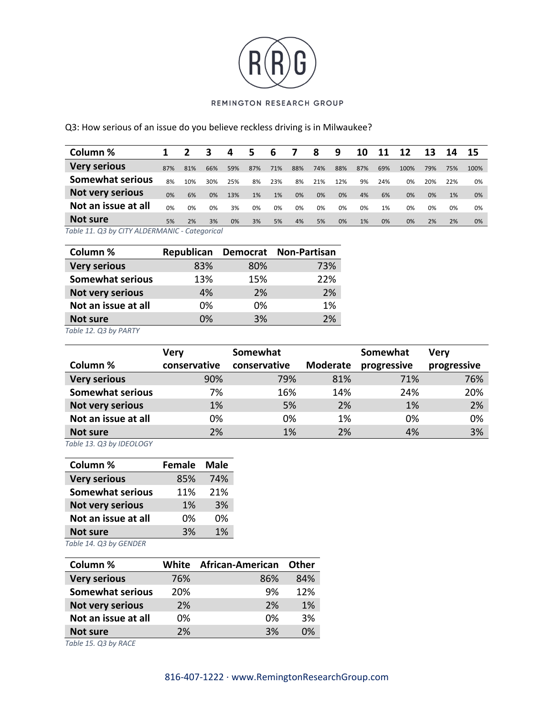

## Q3: How serious of an issue do you believe reckless driving is in Milwaukee?

|     |     |     | 4   | 5   | 6   |     | 8   | 9   | 10  | 11  | 12   | 13  | 14  | 15                    |
|-----|-----|-----|-----|-----|-----|-----|-----|-----|-----|-----|------|-----|-----|-----------------------|
| 87% | 81% | 66% | 59% | 87% | 71% | 88% | 74% | 88% | 87% | 69% | 100% | 79% | 75% | 100%                  |
| 8%  | 10% | 30% | 25% | 8%  | 23% | 8%  | 21% | 12% | 9%  | 24% | 0%   | 20% | 22% | 0%                    |
| 0%  | 6%  | 0%  | 13% | 1%  | 1%  | 0%  | 0%  | 0%  | 4%  | 6%  | 0%   | 0%  | 1%  | 0%                    |
| 0%  | 0%  | 0%  | 3%  | 0%  | 0%  | 0%  | 0%  | 0%  | 0%  | 1%  | 0%   | 0%  | 0%  | 0%                    |
| 5%  | 2%  | 3%  | 0%  | 3%  | 5%  | 4%  | 5%  | 0%  | 1%  | 0%  | 0%   | 2%  | 2%  | 0%                    |
|     |     |     |     |     |     |     |     |     |     |     |      |     |     | $T - L = 44.02 L - C$ |

*Table 11. Q3 by CITY ALDERMANIC - Categorical*

| Column %                | Republican |     | Democrat Non-Partisan |
|-------------------------|------------|-----|-----------------------|
| <b>Very serious</b>     | 83%        | 80% | 73%                   |
| <b>Somewhat serious</b> | 13%        | 15% | 22%                   |
| Not very serious        | 4%         | 2%  | 2%                    |
| Not an issue at all     | 0%         | 0%  | 1%                    |
| Not sure                | 0%         | 3%  | 2%                    |

*Table 12. Q3 by PARTY*

|                         | <b>Very</b>  | Somewhat     |                 | Somewhat    | Verv        |
|-------------------------|--------------|--------------|-----------------|-------------|-------------|
| Column %                | conservative | conservative | <b>Moderate</b> | progressive | progressive |
| <b>Very serious</b>     | 90%          | 79%          | 81%             | 71%         | 76%         |
| <b>Somewhat serious</b> | 7%           | 16%          | 14%             | 24%         | 20%         |
| Not very serious        | 1%           | 5%           | 2%              | 1%          | 2%          |
| Not an issue at all     | 0%           | 0%           | 1%              | 0%          | 0%          |
| Not sure                | 2%           | 1%           | 2%              | 4%          | 3%          |

*Table 13. Q3 by IDEOLOGY*

| Column %                | <b>Female</b> | Male |
|-------------------------|---------------|------|
| <b>Very serious</b>     | 85%           | 74%  |
| <b>Somewhat serious</b> | 11%           | 21%  |
| Not very serious        | 1%            | 3%   |
| Not an issue at all     | 0%            | በ%   |
| <b>Not sure</b>         | 3%            | 1%   |

*Table 14. Q3 by GENDER*

| Column %                | White | <b>African-American</b> | Other |
|-------------------------|-------|-------------------------|-------|
| <b>Very serious</b>     | 76%   | 86%                     | 84%   |
| <b>Somewhat serious</b> | 20%   | 9%                      | 12%   |
| Not very serious        | 2%    | 2%                      | 1%    |
| Not an issue at all     | 0%    | በ%                      | 3%    |
| Not sure                | 2%    | 3%                      | በ%    |

*Table 15. Q3 by RACE*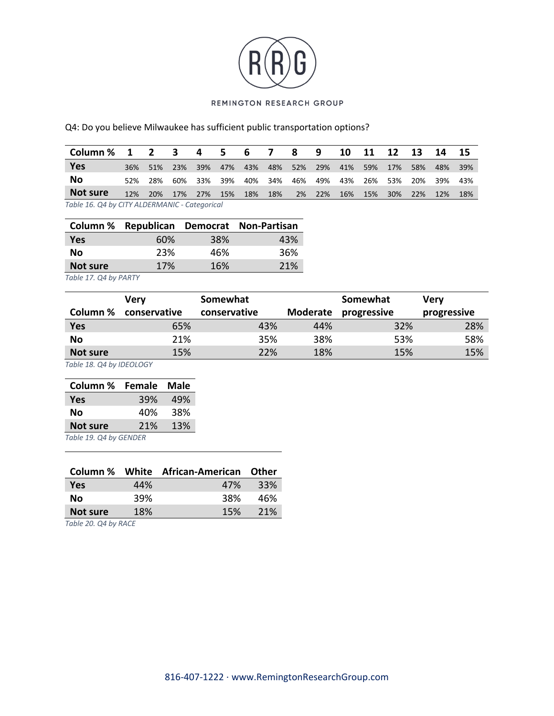

Q4: Do you believe Milwaukee has sufficient public transportation options?

| Column $\frac{1}{2}$ 1 2 3                   |     |     |         | 4       | 567 |     |         | 8           | - 9    |     | 10 11 | 12         | $\overline{\mathbf{13}}$ | -14     | - 15  |
|----------------------------------------------|-----|-----|---------|---------|-----|-----|---------|-------------|--------|-----|-------|------------|--------------------------|---------|-------|
| Yes                                          | 36% | 51% | 23%     | 39%     | 47% | 43% |         | 48% 52% 29% |        | 41% | 59%   | 17%        | 58%                      | 48%     | - 39% |
| No                                           | 52% | 28% |         | 60% 33% | 39% |     | 40% 34% | 46%         | 49%    | 43% | 26%   | 53%        |                          | 20% 39% | 43%   |
| Not sure                                     | 12% | 20% | 17% 27% |         | 15% | 18% | 18%     |             | 2% 22% | 16% | 15%   | <b>30%</b> | 22%                      | 12%     | 18%   |
| Table 16 04 by CITY ALDERMANIC - Categorical |     |     |         |         |     |     |         |             |        |     |       |            |                          |         |       |

*Table 16. Q4 by CITY ALDERMANIC - Categorical*

|            |     |     | Column % Republican Democrat Non-Partisan |
|------------|-----|-----|-------------------------------------------|
| <b>Yes</b> | 60% | 38% | 43%                                       |
| <b>No</b>  | 23% | 46% | 36%                                       |
| Not sure   | 17% | 16% | 21%                                       |

*Table 17. Q4 by PARTY*

|            | Verv         | Somewhat     |          | Somewhat    | <b>Verv</b> |
|------------|--------------|--------------|----------|-------------|-------------|
| Column %   | conservative | conservative | Moderate | progressive | progressive |
| <b>Yes</b> | 65%          | 43%          | 44%      | 32%         | 28%         |
| <b>No</b>  | 21%          | 35%          | 38%      | 53%         | 58%         |
| Not sure   | 15%          | 22%          | 18%      | 15%         | 15%         |

*Table 18. Q4 by IDEOLOGY*

| Column %              | <b>Female</b> | <b>Male</b> |
|-----------------------|---------------|-------------|
| Yes                   | 39%           | 49%         |
| No                    | 40%           | 38%         |
| <b>Not sure</b>       | 21%           | 13%         |
| Tahle 19 04 by GENDER |               |             |

*Table 19. Q4 by GENDER*

|            |            | Column % White African-American Other |     |
|------------|------------|---------------------------------------|-----|
| <b>Yes</b> | 44%        | 47%                                   | 33% |
| Nο         | 39%        | 38%                                   | 46% |
| Not sure   | <b>18%</b> | 15%                                   | 21% |
|            |            |                                       |     |

*Table 20. Q4 by RACE*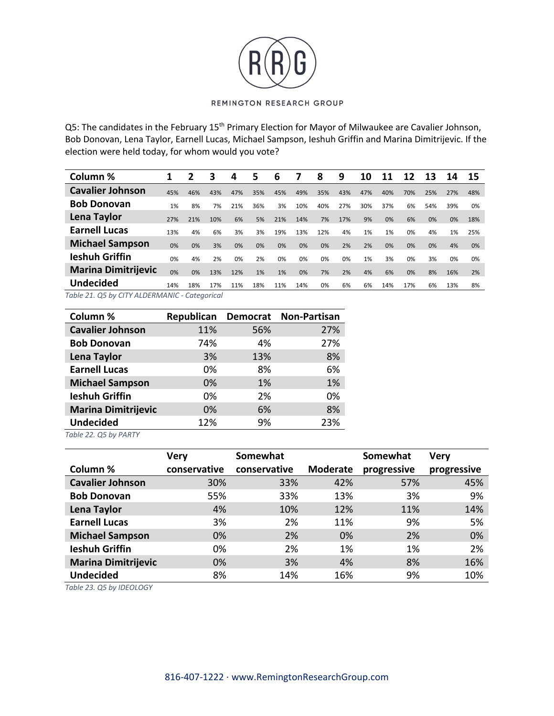

Q5: The candidates in the February 15<sup>th</sup> Primary Election for Mayor of Milwaukee are Cavalier Johnson, Bob Donovan, Lena Taylor, Earnell Lucas, Michael Sampson, Ieshuh Griffin and Marina Dimitrijevic. If the election were held today, for whom would you vote?

| Column %                                      |     | 2   | 3   | 4   | 5   | 6   |     | 8   | 9   | 10  | 11  | 12  | 13  | 14  | 15  |
|-----------------------------------------------|-----|-----|-----|-----|-----|-----|-----|-----|-----|-----|-----|-----|-----|-----|-----|
| <b>Cavalier Johnson</b>                       | 45% | 46% | 43% | 47% | 35% | 45% | 49% | 35% | 43% | 47% | 40% | 70% | 25% | 27% | 48% |
| <b>Bob Donovan</b>                            | 1%  | 8%  | 7%  | 21% | 36% | 3%  | 10% | 40% | 27% | 30% | 37% | 6%  | 54% | 39% | 0%  |
| Lena Taylor                                   | 27% | 21% | 10% | 6%  | 5%  | 21% | 14% | 7%  | 17% | 9%  | 0%  | 6%  | 0%  | 0%  | 18% |
| <b>Earnell Lucas</b>                          | 13% | 4%  | 6%  | 3%  | 3%  | 19% | 13% | 12% | 4%  | 1%  | 1%  | 0%  | 4%  | 1%  | 25% |
| <b>Michael Sampson</b>                        | 0%  | 0%  | 3%  | 0%  | 0%  | 0%  | 0%  | 0%  | 2%  | 2%  | 0%  | 0%  | 0%  | 4%  | 0%  |
| <b>Ieshuh Griffin</b>                         | 0%  | 4%  | 2%  | 0%  | 2%  | 0%  | 0%  | 0%  | 0%  | 1%  | 3%  | 0%  | 3%  | 0%  | 0%  |
| <b>Marina Dimitrijevic</b>                    | 0%  | 0%  | 13% | 12% | 1%  | 1%  | 0%  | 7%  | 2%  | 4%  | 6%  | 0%  | 8%  | 16% | 2%  |
| <b>Undecided</b>                              | 14% | 18% | 17% | 11% | 18% | 11% | 14% | 0%  | 6%  | 6%  | 14% | 17% | 6%  | 13% | 8%  |
| Table 21. Q5 by CITY ALDERMANIC - Categorical |     |     |     |     |     |     |     |     |     |     |     |     |     |     |     |

| Column %                | Republican Democrat |     | <b>Non-Partisan</b> |
|-------------------------|---------------------|-----|---------------------|
| <b>Cavalier Johnson</b> | 11%                 | 56% | 27%                 |
| <b>Bob Donovan</b>      | 74%                 | 4%  | 27%                 |
| <b>Lena Taylor</b>      | 3%                  | 13% | 8%                  |
| <b>Earnell Lucas</b>    | 0%                  | 8%  | 6%                  |
| <b>Michael Sampson</b>  | 0%                  | 1%  | 1%                  |
| <b>Ieshuh Griffin</b>   | 0%                  | 2%  | 0%                  |
| Marina Dimitrijevic     | 0%                  | 6%  | 8%                  |
| <b>Undecided</b>        | 12%                 | 9%  | 23%                 |

*Table 22. Q5 by PARTY*

|                            | <b>Very</b>  | Somewhat     |                 | Somewhat    | <b>Very</b> |
|----------------------------|--------------|--------------|-----------------|-------------|-------------|
| Column %                   | conservative | conservative | <b>Moderate</b> | progressive | progressive |
| <b>Cavalier Johnson</b>    | 30%          | 33%          | 42%             | 57%         | 45%         |
| <b>Bob Donovan</b>         | 55%          | 33%          | 13%             | 3%          | 9%          |
| Lena Taylor                | 4%           | 10%          | 12%             | 11%         | 14%         |
| <b>Earnell Lucas</b>       | 3%           | 2%           | 11%             | 9%          | 5%          |
| <b>Michael Sampson</b>     | 0%           | 2%           | 0%              | 2%          | 0%          |
| <b>Ieshuh Griffin</b>      | 0%           | 2%           | 1%              | 1%          | 2%          |
| <b>Marina Dimitrijevic</b> | 0%           | 3%           | 4%              | 8%          | 16%         |
| <b>Undecided</b>           | 8%           | 14%          | 16%             | 9%          | 10%         |

*Table 23. Q5 by IDEOLOGY*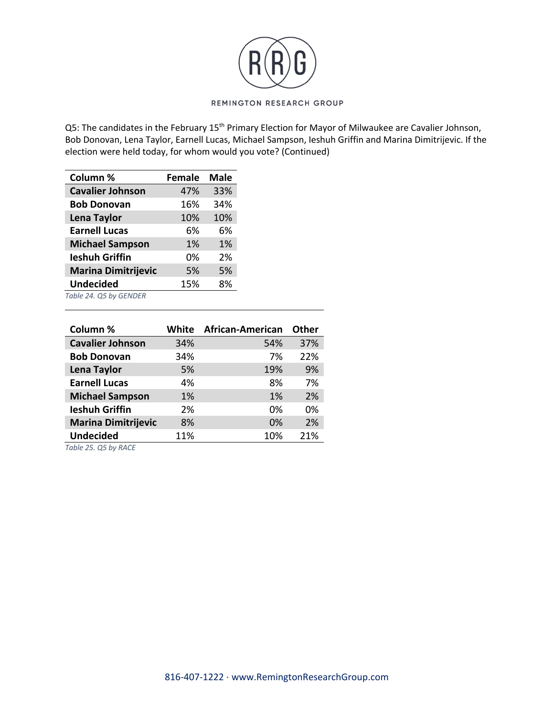

Q5: The candidates in the February 15<sup>th</sup> Primary Election for Mayor of Milwaukee are Cavalier Johnson, Bob Donovan, Lena Taylor, Earnell Lucas, Michael Sampson, Ieshuh Griffin and Marina Dimitrijevic. If the election were held today, for whom would you vote? (Continued)

| Column %                   | <b>Female</b> | <b>Male</b> |
|----------------------------|---------------|-------------|
| <b>Cavalier Johnson</b>    | 47%           | 33%         |
| <b>Bob Donovan</b>         | 16%           | 34%         |
| <b>Lena Taylor</b>         | 10%           | 10%         |
| <b>Earnell Lucas</b>       | 6%            | 6%          |
| <b>Michael Sampson</b>     | 1%            | 1%          |
| <b>Ieshuh Griffin</b>      | 0%            | 2%          |
| <b>Marina Dimitrijevic</b> | 5%            | 5%          |
| <b>Undecided</b>           | 15%           | 8%          |
| Table 24. Q5 by GENDER     |               |             |

| Column %                   | White | <b>African-American</b> | <b>Other</b> |
|----------------------------|-------|-------------------------|--------------|
| <b>Cavalier Johnson</b>    | 34%   | 54%                     | 37%          |
| <b>Bob Donovan</b>         | 34%   | 7%                      | 22%          |
| Lena Taylor                | 5%    | 19%                     | 9%           |
| <b>Earnell Lucas</b>       | 4%    | 8%                      | 7%           |
| <b>Michael Sampson</b>     | 1%    | 1%                      | 2%           |
| <b>Ieshuh Griffin</b>      | 2%    | 0%                      | 0%           |
| <b>Marina Dimitrijevic</b> | 8%    | 0%                      | 2%           |
| <b>Undecided</b>           | 11%   | 10%                     | 21%          |

*Table 25. Q5 by RACE*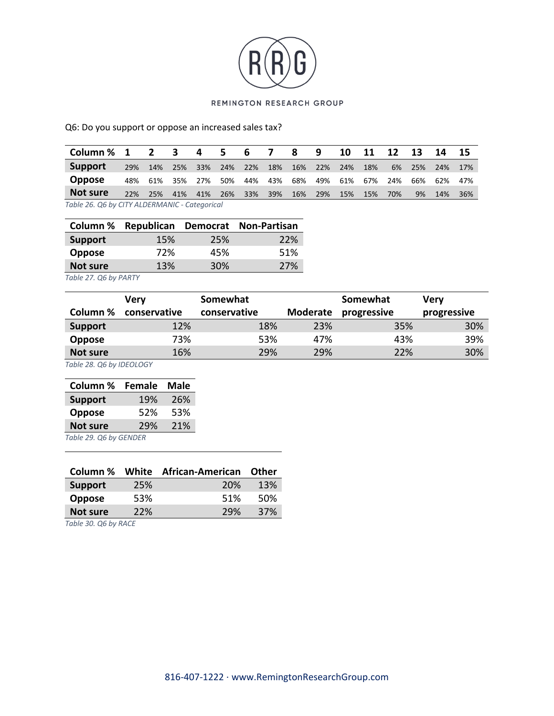

Q6: Do you support or oppose an increased sales tax?

| Column % 1    |                                               | $2^{\circ}$ | 3   | 4   | 5.  | -6  | 7   | 8   | 9   | 10  | -11 | 12  | 13  | 14   | -15 |
|---------------|-----------------------------------------------|-------------|-----|-----|-----|-----|-----|-----|-----|-----|-----|-----|-----|------|-----|
| Support       | 29%                                           | 14%         | 25% | 33% | 24% | 22% | 18% | 16% | 22% | 24% | 18% | 6%  | 25% | -24% | 17% |
| <b>Oppose</b> | 48%                                           | 61%         | 35% | 27% | 50% | 44% | 43% | 68% | 49% | 61% | 67% | 24% | 66% | 62%  | 47% |
| Not sure      | 22%                                           | 25%         | 41% | 41% | 26% | 33% | 39% | 16% | 29% | 15% | 15% | 70% | 9%  | 14%  | 36% |
|               | Table 26, 06 by CITY ALDERMANIC - Categorical |             |     |     |     |     |     |     |     |     |     |     |     |      |     |

*Table 26. Q6 by CITY ALDERMANIC - Categorical*

| Column %       |     |                 | Republican Democrat Non-Partisan |
|----------------|-----|-----------------|----------------------------------|
| <b>Support</b> | 15% | 25%             | 22%                              |
| <b>Oppose</b>  | 72% | 45%             | 51%                              |
| Not sure       | 13% | 30 <sup>%</sup> | 27%                              |

*Table 27. Q6 by PARTY*

|                 | Verv         | Somewhat     |          | Somewhat    | <b>Very</b> |  |
|-----------------|--------------|--------------|----------|-------------|-------------|--|
| Column %        | conservative | conservative | Moderate | progressive | progressive |  |
| <b>Support</b>  | 12%          | 18%          | 23%      | 35%         | 30%         |  |
| <b>Oppose</b>   | 73%          | 53%          | 47%      | 43%         | 39%         |  |
| <b>Not sure</b> | 16%          | 29%          | 29%      | 22%         | 30%         |  |

*Table 28. Q6 by IDEOLOGY*

| Column %              | <b>Female</b> | Male |  |  |  |  |  |
|-----------------------|---------------|------|--|--|--|--|--|
| <b>Support</b>        | 19%           | 26%  |  |  |  |  |  |
| <b>Oppose</b>         | 52%           | 53%  |  |  |  |  |  |
| <b>Not sure</b>       | 29%           | 21%  |  |  |  |  |  |
| Table 29 O6 by GENDER |               |      |  |  |  |  |  |

*Table 29. Q6 by GENDER*

| Column %       |            | White African-American | Other |
|----------------|------------|------------------------|-------|
| <b>Support</b> | 25%        | <b>20%</b>             | 13%   |
| <b>Oppose</b>  | 53%        | 51%                    | 50%   |
| Not sure       | <b>22%</b> | 29%                    | 37%   |
|                |            |                        |       |

*Table 30. Q6 by RACE*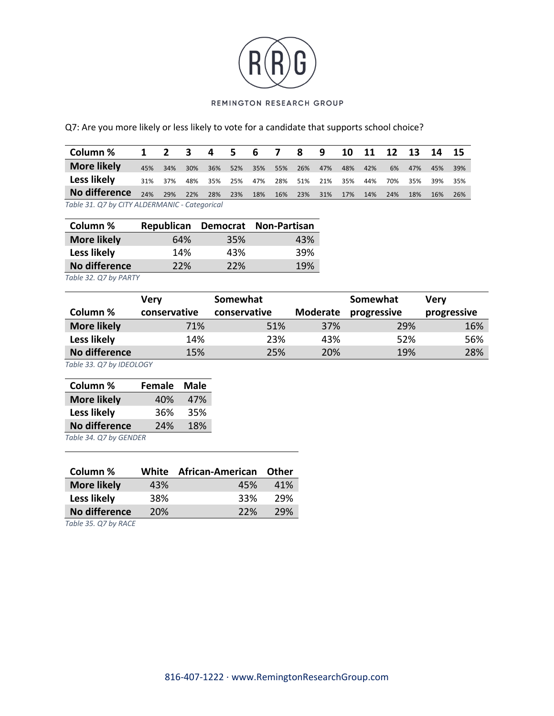

Q7: Are you more likely or less likely to vote for a candidate that supports school choice?

| Column %                                      | $\overline{1}$ | $2 \quad 3$ |     | $\overline{4}$ | - 5 | 6   | 7   | -8  | -9  | 10  | 11  | 12 <sup>12</sup> | - 13 | - 14 | - 15 |
|-----------------------------------------------|----------------|-------------|-----|----------------|-----|-----|-----|-----|-----|-----|-----|------------------|------|------|------|
| <b>More likely</b>                            | 45%            | 34%         | 30% | 36%            | 52% | 35% | 55% | 26% | 47% | 48% | 42% | 6%               | 47%  | 45%  | 39%  |
| Less likely                                   | 31%            | 37%         | 48% | 35%            | 25% | 47% | 28% | 51% | 21% | 35% | 44% | 70%              | 35%  | 39%  | 35%  |
| No difference                                 | 24%            | 29%         | 22% | 28%            | 23% | 18% | 16% | 23% | 31% | 17% | 14% | 24%              | 18%  | 16%  | 26%  |
| Table 31. Q7 by CITY ALDERMANIC - Categorical |                |             |     |                |     |     |     |     |     |     |     |                  |      |      |      |

| Column %           | Republican |     | Democrat Non-Partisan |  |  |
|--------------------|------------|-----|-----------------------|--|--|
| <b>More likely</b> | 64%        | 35% | 43%                   |  |  |
| Less likely        | 14%        | 43% | 39%                   |  |  |
| No difference      | 22%        | 22% | 19%                   |  |  |

*Table 32. Q7 by PARTY*

|                    | Very         | Somewhat     |                 | Somewhat    | Very        |
|--------------------|--------------|--------------|-----------------|-------------|-------------|
| Column %           | conservative | conservative | <b>Moderate</b> | progressive | progressive |
| <b>More likely</b> | 71%          | 51%          | 37%             | 29%         | 16%         |
| Less likely        | 14%          | 23%          | 43%             | 52%         | 56%         |
| No difference      | 15%          | 25%          | 20%             | 19%         | 28%         |

*Table 33. Q7 by IDEOLOGY*

| Column %               | <b>Female</b> | Male |
|------------------------|---------------|------|
| <b>More likely</b>     | 40%           | 47%  |
| Less likely            | 36%           | 35%  |
| No difference          | 24%           | 18%  |
| Table 34. Q7 by GENDER |               |      |

| Column %           |            | White African-American Other |      |
|--------------------|------------|------------------------------|------|
| <b>More likely</b> | 43%        | 45%                          | 41%  |
| Less likely        | 38%        | 33%                          | -29% |
| No difference      | <b>20%</b> | 22%                          | 29%  |

*Table 35. Q7 by RACE*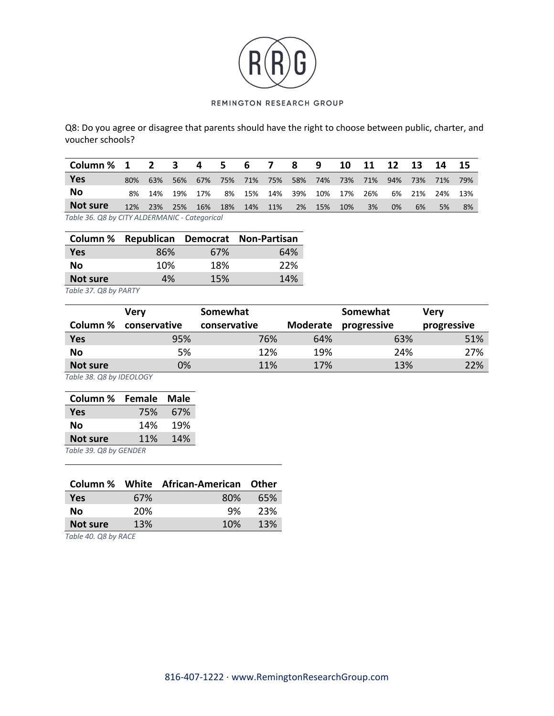

Q8: Do you agree or disagree that parents should have the right to choose between public, charter, and voucher schools?

| Column % 1                                    |     | $\overline{2}$ | 3   | 4   | -5. | 6   | 7   | -8  | 9   | 10  | 11  | 12  | 13  | 14   | -15 |
|-----------------------------------------------|-----|----------------|-----|-----|-----|-----|-----|-----|-----|-----|-----|-----|-----|------|-----|
| <b>Yes</b>                                    | 80% | 63%            | 56% | 67% | 75% | 71% | 75% | 58% | 74% | 73% | 71% | 94% | 73% | 71%  | 79% |
| No                                            | 8%  | 14%            | 19% | 17% | 8%  | 15% | 14% | 39% | 10% | 17% | 26% | 6%  | 21% | -24% | 13% |
| Not sure                                      | 12% | 23%            | 25% | 16% | 18% | 14% | 11% | 2%  | 15% | 10% | 3%  | 0%  | 6%  | 5%   | 8%  |
| Table 36. Q8 by CITY ALDERMANIC - Categorical |     |                |     |     |     |     |     |     |     |     |     |     |     |      |     |

|            |     |     | Column % Republican Democrat Non-Partisan |
|------------|-----|-----|-------------------------------------------|
| <b>Yes</b> | 86% | 67% | 64%                                       |
| <b>No</b>  | 10% | 18% | 22%                                       |
| Not sure   | 4%  | 15% | 14%                                       |

*Table 37. Q8 by PARTY*

|            | Verv         | Somewhat     |                 | Somewhat    | <b>Very</b> |
|------------|--------------|--------------|-----------------|-------------|-------------|
| Column %   | conservative | conservative | <b>Moderate</b> | progressive | progressive |
| <b>Yes</b> | 95%          | 76%          | 64%             | 63%         | 51%         |
| No         | 5%           | 12%          | 19%             | 24%         | 27%         |
| Not sure   | 0%           | 11%          | 17%             | 13%         | 22%         |

*Table 38. Q8 by IDEOLOGY*

| Column %               | Female | Male |
|------------------------|--------|------|
| Yes                    | 75%    | 67%  |
| No                     | 14%    | 19%  |
| 11%<br><b>Not sure</b> |        | 14%  |
| Table 39. Q8 by GENDER |        |      |

|            |     | Column % White African-American Other |     |
|------------|-----|---------------------------------------|-----|
| <b>Yes</b> | 67% | 80%                                   | 65% |
| Nο         | 20% | 9%                                    | 23% |
| Not sure   | 13% | 10%                                   | 13% |

*Table 40. Q8 by RACE*